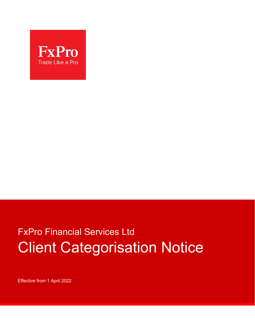

# FxPro Financial Services Ltd Client Categorisation Notice

Effective from 1 April 2022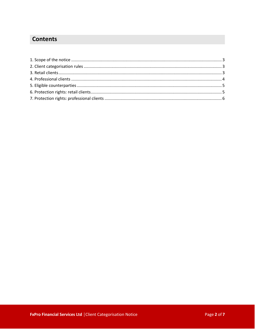## **Contents**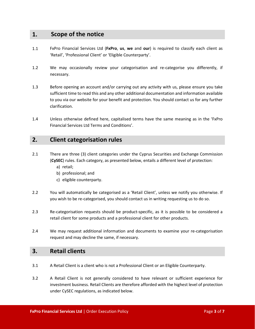## **1. Scope of the notice**

- 1.1 FxPro Financial Services Ltd (**FxPro**, **us**, **we** and **our**) is required to classify each client as 'Retail', 'Professional Client' or 'Eligible Counterparty'.
- 1.2 We may occasionally review your categorisation and re-categorise you differently, if necessary.
- 1.3 Before opening an account and/or carrying out any activity with us, please ensure you take sufficient time to read this and any other additional documentation and information available to you via our website for your benefit and protection. You should contact us for any further clarification.
- 1.4 Unless otherwise defined here, capitalised terms have the same meaning as in the 'FxPro Financial Services Ltd Terms and Conditions'.

## **2. Client categorisation rules**

- 2.1 There are three (3) client categories under the Cyprus Securities and Exchange Commission (**CySEC**) rules. Each category, as presented below, entails a different level of protection:
	- a) retail;
	- b) professional; and
	- c) eligible counterparty.
- 2.2 You will automatically be categorised as a 'Retail Client', unless we notify you otherwise. If you wish to be re-categorised, you should contact us in writing requesting us to do so.
- 2.3 Re-categorisation requests should be product-specific, as it is possible to be considered a retail client for some products and a professional client for other products.
- 2.4 We may request additional information and documents to examine your re-categorisation request and may decline the same, if necessary.

### **3. Retail clients**

- 3.1 A Retail Client is a client who is not a Professional Client or an Eligible Counterparty.
- 3.2 A Retail Client is not generally considered to have relevant or sufficient experience for investment business. Retail Clients are therefore afforded with the highest level of protection under CySEC regulations, as indicated below.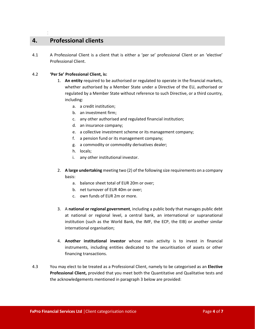## **4. Professional clients**

1

4.1 A Professional Client is a client that is either a 'per se' professional Client or an 'elective' Professional Client.

#### 4.2 **'Per Se' Professional Client, is:**

- 1. **An entity** required to be authorised or regulated to operate in the financial markets, whether authorised by a Member State under a Directive of the EU, authorised or regulated by a Member State without reference to such Directive, or a third country, including:
	- a. a credit institution;
	- b. an investment firm;
	- c. any other authorised and regulated financial institution;
	- d. an insurance company;
	- e. a collective investment scheme or its management company;
	- f. a pension fund or its management company;
	- g. a commodity or commodity derivatives dealer;
	- h. locals;
	- i. any other institutional investor.
- 2. **A large undertaking** meeting two (2) of the following size requirements on a company basis:
	- a. balance sheet total of EUR 20m or over;
	- b. net turnover of EUR 40m or over;
	- c. own funds of EUR 2m or more.
- 3. A **national or regional government**, including a public body that manages public debt at national or regional level, a central bank, an international or supranational institution (such as the World Bank, the IMF, the ECP, the EIB) or another similar international organisation;
- 4. **Another institutional investor** whose main activity is to invest in financial instruments, including entities dedicated to the securitisation of assets or other financing transactions.
- 4.3 You may elect to be treated as a Professional Client, namely to be categorised as an **Elective Professional Client,** provided that you meet both the Quantitative and Qualitative tests and the acknowledgements mentioned in paragraph 3 below are provided: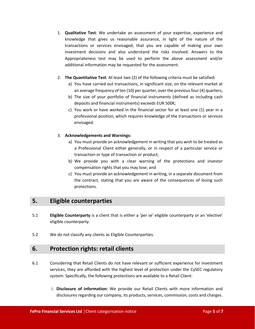- 1. **Qualitative Test**: We undertake an assessment of your expertise, experience and knowledge that gives us reasonable assurance, in light of the nature of the transactions or services envisaged, that you are capable of making your own investment decisions and also understand the risks involved. Answers to the Appropriateness test may be used to perform the above assessment and/or additional information may be requested for the assessment.
- 2. **The Quantitative Test**: At least two (2) of the following criteria must be satisfied:
	- a) You have carried out transactions, in significant size, on the relevant market at an average frequency of ten (10) per quarter, over the previous four (4) quarters;
	- b) The size of your portfolio of financial instruments (defined as including cash deposits and financial instruments) exceeds EUR 500K;
	- c) You work or have worked in the financial sector for at least one (1) year in a professional position, which requires knowledge of the transactions or services envisaged.

#### 3. **Acknowledgements and Warnings:**

- a) You must provide an acknowledgement in writing that you wish to be treated as a Professional Client either generally, or in respect of a particular service or transaction or type of transaction or product;
- b) We provide you with a clear warning of the protections and investor compensation rights that you may lose; and
- c) You must provide an acknowledgement in writing, in a separate document from the contract, stating that you are aware of the consequences of losing such protections.

## **5. Eligible counterparties**

- 5.1 **Eligible Counterparty** is a client that is either a 'per se' eligible counterparty or an 'elective' eligible counterparty.
- 5.2 We do not classify any clients as Eligible Counterparties.

## **6. Protection rights: retail clients**

- 6.1 Considering that Retail Clients do not have relevant or sufficient experience for investment services, they are afforded with the highest level of protection under the CySEC regulatory system. Specifically, the following protections are available to a Retail Client:
	- i. **Disclosure of information:** We provide our Retail Clients with more information and disclosures regarding our company, its products, services, commission, costs and charges.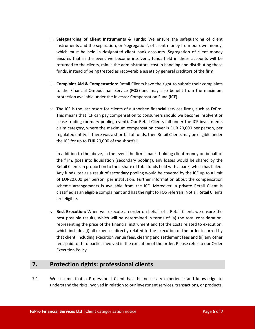- ii. **Safeguarding of Client Instruments & Funds:** We ensure the safeguarding of client instruments and the separation, or 'segregation', of client money from our own money, which must be held in designated client bank accounts. Segregation of client money ensures that in the event we become insolvent, funds held in these accounts will be returned to the clients, minus the administrators' cost in handling and distributing these funds, instead of being treated as recoverable assets by general creditors of the firm.
- iii. **Complaint Aid & Compensation:** Retail Clients have the right to submit their complaints to the Financial Ombudsman Service (**FOS**) and may also benefit from the maximum protection available under the Investor Compensation Fund (**ICF**).
- iv. The ICF is the last resort for clients of authorised financial services firms, such as FxPro. This means that ICF can pay compensation to consumers should we become insolvent or cease trading (primary pooling event). Our Retail Clients fall under the ICF investments claim category, where the maximum compensation cover is EUR 20,000 per person, per regulated entity. If there was a shortfall of funds, then Retail Clients may be eligible under the ICF for up to EUR 20,000 of the shortfall.

In addition to the above, in the event the firm's bank, holding client money on behalf of the firm, goes into liquidation (secondary pooling), any losses would be shared by the Retail Clients in proportion to their share of total funds held with a bank, which has failed. Any funds lost as a result of secondary pooling would be covered by the ICF up to a limit of EUR20,000 per person, per institution. Further information about the compensation scheme arrangements is available from the ICF. Moreover, a private Retail Client is classified as an eligible complainant and has the right to FOS referrals. Not all Retail Clients are eligible.

v. **Best Execution:** When we execute an order on behalf of a Retail Client, we ensure the best possible results, which will be determined in terms of (a) the total consideration, representing the price of the financial instrument and (b) the costs related to execution, which includes (i) all expenses directly related to the execution of the order incurred by that client, including execution venue fees, clearing and settlement fees and (ii) any other fees paid to third parties involved in the execution of the order. Please refer to our Order Execution Policy.

## **7. Protection rights: professional clients**

7.1 We assume that a Professional Client has the necessary experience and knowledge to understand the risks involved in relation to our investment services, transactions, or products.